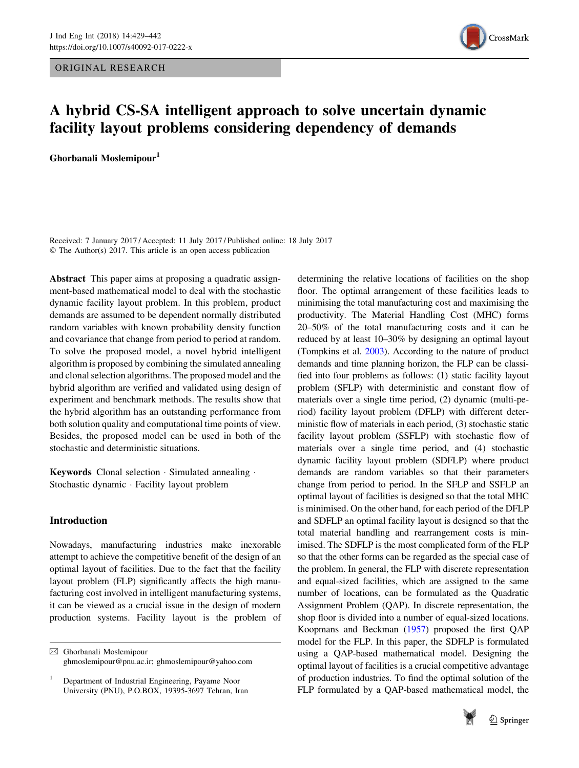ORIGINAL RESEARCH



# A hybrid CS-SA intelligent approach to solve uncertain dynamic facility layout problems considering dependency of demands

Ghorbanali Moslemipour<sup>1</sup>

Received: 7 January 2017 / Accepted: 11 July 2017 / Published online: 18 July 2017 © The Author(s) 2017. This article is an open access publication

Abstract This paper aims at proposing a quadratic assignment-based mathematical model to deal with the stochastic dynamic facility layout problem. In this problem, product demands are assumed to be dependent normally distributed random variables with known probability density function and covariance that change from period to period at random. To solve the proposed model, a novel hybrid intelligent algorithm is proposed by combining the simulated annealing and clonal selection algorithms. The proposed model and the hybrid algorithm are verified and validated using design of experiment and benchmark methods. The results show that the hybrid algorithm has an outstanding performance from both solution quality and computational time points of view. Besides, the proposed model can be used in both of the stochastic and deterministic situations.

Keywords Clonal selection · Simulated annealing · Stochastic dynamic - Facility layout problem

# Introduction

Nowadays, manufacturing industries make inexorable attempt to achieve the competitive benefit of the design of an optimal layout of facilities. Due to the fact that the facility layout problem (FLP) significantly affects the high manufacturing cost involved in intelligent manufacturing systems, it can be viewed as a crucial issue in the design of modern production systems. Facility layout is the problem of determining the relative locations of facilities on the shop floor. The optimal arrangement of these facilities leads to minimising the total manufacturing cost and maximising the productivity. The Material Handling Cost (MHC) forms 20–50% of the total manufacturing costs and it can be reduced by at least 10–30% by designing an optimal layout (Tompkins et al. [2003](#page-13-0)). According to the nature of product demands and time planning horizon, the FLP can be classified into four problems as follows: (1) static facility layout problem (SFLP) with deterministic and constant flow of materials over a single time period, (2) dynamic (multi-period) facility layout problem (DFLP) with different deterministic flow of materials in each period, (3) stochastic static facility layout problem (SSFLP) with stochastic flow of materials over a single time period, and (4) stochastic dynamic facility layout problem (SDFLP) where product demands are random variables so that their parameters change from period to period. In the SFLP and SSFLP an optimal layout of facilities is designed so that the total MHC is minimised. On the other hand, for each period of the DFLP and SDFLP an optimal facility layout is designed so that the total material handling and rearrangement costs is minimised. The SDFLP is the most complicated form of the FLP so that the other forms can be regarded as the special case of the problem. In general, the FLP with discrete representation and equal-sized facilities, which are assigned to the same number of locations, can be formulated as the Quadratic Assignment Problem (QAP). In discrete representation, the shop floor is divided into a number of equal-sized locations. Koopmans and Beckman [\(1957](#page-12-0)) proposed the first QAP model for the FLP. In this paper, the SDFLP is formulated using a QAP-based mathematical model. Designing the optimal layout of facilities is a crucial competitive advantage of production industries. To find the optimal solution of the FLP formulated by a QAP-based mathematical model, the



<sup>&</sup>amp; Ghorbanali Moslemipour ghmoslemipour@pnu.ac.ir; ghmoslemipour@yahoo.com

<sup>1</sup> Department of Industrial Engineering, Payame Noor University (PNU), P.O.BOX, 19395-3697 Tehran, Iran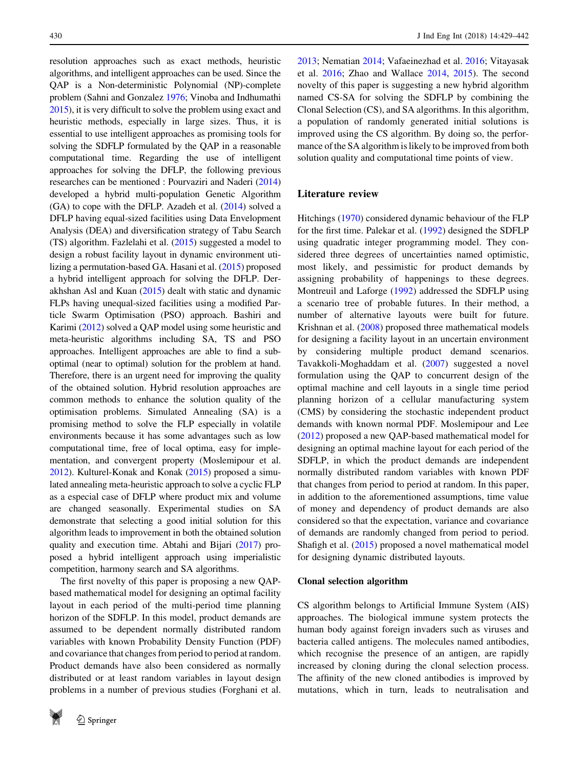<span id="page-1-0"></span>resolution approaches such as exact methods, heuristic algorithms, and intelligent approaches can be used. Since the QAP is a Non-deterministic Polynomial (NP)-complete problem (Sahni and Gonzalez [1976](#page-13-0); Vinoba and Indhumathi [2015\)](#page-13-0), it is very difficult to solve the problem using exact and heuristic methods, especially in large sizes. Thus, it is essential to use intelligent approaches as promising tools for solving the SDFLP formulated by the QAP in a reasonable computational time. Regarding the use of intelligent approaches for solving the DFLP, the following previous researches can be mentioned : Pourvaziri and Naderi [\(2014\)](#page-13-0) developed a hybrid multi-population Genetic Algorithm  $(GA)$  to cope with the DFLP. Azadeh et al.  $(2014)$  solved a DFLP having equal-sized facilities using Data Envelopment Analysis (DEA) and diversification strategy of Tabu Search (TS) algorithm. Fazlelahi et al. ([2015](#page-12-0)) suggested a model to design a robust facility layout in dynamic environment utilizing a permutation-based GA. Hasani et al. [\(2015\)](#page-12-0) proposed a hybrid intelligent approach for solving the DFLP. Derakhshan Asl and Kuan ([2015](#page-12-0)) dealt with static and dynamic FLPs having unequal-sized facilities using a modified Particle Swarm Optimisation (PSO) approach. Bashiri and Karimi [\(2012\)](#page-12-0) solved a QAP model using some heuristic and meta-heuristic algorithms including SA, TS and PSO approaches. Intelligent approaches are able to find a suboptimal (near to optimal) solution for the problem at hand. Therefore, there is an urgent need for improving the quality of the obtained solution. Hybrid resolution approaches are common methods to enhance the solution quality of the optimisation problems. Simulated Annealing (SA) is a promising method to solve the FLP especially in volatile environments because it has some advantages such as low computational time, free of local optima, easy for implementation, and convergent property (Moslemipour et al. [2012\)](#page-13-0). Kulturel-Konak and Konak [\(2015\)](#page-12-0) proposed a simulated annealing meta-heuristic approach to solve a cyclic FLP as a especial case of DFLP where product mix and volume are changed seasonally. Experimental studies on SA demonstrate that selecting a good initial solution for this algorithm leads to improvement in both the obtained solution quality and execution time. Abtahi and Bijari ([2017](#page-12-0)) proposed a hybrid intelligent approach using imperialistic competition, harmony search and SA algorithms.

The first novelty of this paper is proposing a new QAPbased mathematical model for designing an optimal facility layout in each period of the multi-period time planning horizon of the SDFLP. In this model, product demands are assumed to be dependent normally distributed random variables with known Probability Density Function (PDF) and covariance that changes from period to period at random. Product demands have also been considered as normally distributed or at least random variables in layout design problems in a number of previous studies (Forghani et al.



[2013](#page-12-0); Nematian [2014](#page-13-0); Vafaeinezhad et al. [2016;](#page-13-0) Vitayasak et al. [2016;](#page-13-0) Zhao and Wallace [2014,](#page-13-0) [2015](#page-13-0)). The second novelty of this paper is suggesting a new hybrid algorithm named CS-SA for solving the SDFLP by combining the Clonal Selection (CS), and SA algorithms. In this algorithm, a population of randomly generated initial solutions is improved using the CS algorithm. By doing so, the performance of the SA algorithm is likely to be improved from both solution quality and computational time points of view.

## Literature review

Hitchings ([1970\)](#page-12-0) considered dynamic behaviour of the FLP for the first time. Palekar et al. [\(1992](#page-13-0)) designed the SDFLP using quadratic integer programming model. They considered three degrees of uncertainties named optimistic, most likely, and pessimistic for product demands by assigning probability of happenings to these degrees. Montreuil and Laforge [\(1992](#page-12-0)) addressed the SDFLP using a scenario tree of probable futures. In their method, a number of alternative layouts were built for future. Krishnan et al. ([2008\)](#page-12-0) proposed three mathematical models for designing a facility layout in an uncertain environment by considering multiple product demand scenarios. Tavakkoli-Moghaddam et al. ([2007\)](#page-13-0) suggested a novel formulation using the QAP to concurrent design of the optimal machine and cell layouts in a single time period planning horizon of a cellular manufacturing system (CMS) by considering the stochastic independent product demands with known normal PDF. Moslemipour and Lee [\(2012](#page-13-0)) proposed a new QAP-based mathematical model for designing an optimal machine layout for each period of the SDFLP, in which the product demands are independent normally distributed random variables with known PDF that changes from period to period at random. In this paper, in addition to the aforementioned assumptions, time value of money and dependency of product demands are also considered so that the expectation, variance and covariance of demands are randomly changed from period to period. Shafigh et al. [\(2015](#page-13-0)) proposed a novel mathematical model for designing dynamic distributed layouts.

## Clonal selection algorithm

CS algorithm belongs to Artificial Immune System (AIS) approaches. The biological immune system protects the human body against foreign invaders such as viruses and bacteria called antigens. The molecules named antibodies, which recognise the presence of an antigen, are rapidly increased by cloning during the clonal selection process. The affinity of the new cloned antibodies is improved by mutations, which in turn, leads to neutralisation and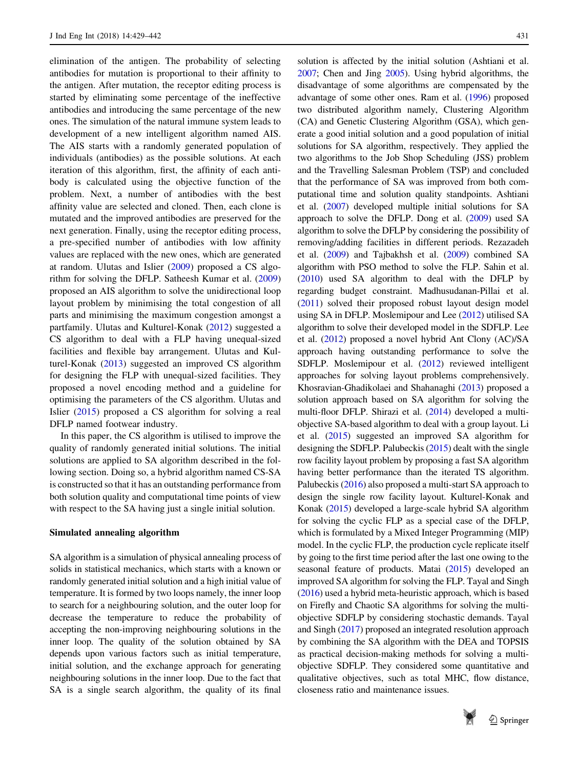elimination of the antigen. The probability of selecting antibodies for mutation is proportional to their affinity to the antigen. After mutation, the receptor editing process is started by eliminating some percentage of the ineffective antibodies and introducing the same percentage of the new ones. The simulation of the natural immune system leads to development of a new intelligent algorithm named AIS. The AIS starts with a randomly generated population of individuals (antibodies) as the possible solutions. At each iteration of this algorithm, first, the affinity of each antibody is calculated using the objective function of the problem. Next, a number of antibodies with the best affinity value are selected and cloned. Then, each clone is mutated and the improved antibodies are preserved for the next generation. Finally, using the receptor editing process, a pre-specified number of antibodies with low affinity values are replaced with the new ones, which are generated at random. Ulutas and Islier ([2009\)](#page-13-0) proposed a CS algorithm for solving the DFLP. Satheesh Kumar et al. ([2009\)](#page-13-0) proposed an AIS algorithm to solve the unidirectional loop layout problem by minimising the total congestion of all parts and minimising the maximum congestion amongst a partfamily. Ulutas and Kulturel-Konak [\(2012](#page-13-0)) suggested a CS algorithm to deal with a FLP having unequal-sized facilities and flexible bay arrangement. Ulutas and Kulturel-Konak ([2013\)](#page-13-0) suggested an improved CS algorithm for designing the FLP with unequal-sized facilities. They proposed a novel encoding method and a guideline for optimising the parameters of the CS algorithm. Ulutas and Islier [\(2015](#page-13-0)) proposed a CS algorithm for solving a real DFLP named footwear industry.

In this paper, the CS algorithm is utilised to improve the quality of randomly generated initial solutions. The initial solutions are applied to SA algorithm described in the following section. Doing so, a hybrid algorithm named CS-SA is constructed so that it has an outstanding performance from both solution quality and computational time points of view with respect to the SA having just a single initial solution.

## Simulated annealing algorithm

SA algorithm is a simulation of physical annealing process of solids in statistical mechanics, which starts with a known or randomly generated initial solution and a high initial value of temperature. It is formed by two loops namely, the inner loop to search for a neighbouring solution, and the outer loop for decrease the temperature to reduce the probability of accepting the non-improving neighbouring solutions in the inner loop. The quality of the solution obtained by SA depends upon various factors such as initial temperature, initial solution, and the exchange approach for generating neighbouring solutions in the inner loop. Due to the fact that SA is a single search algorithm, the quality of its final solution is affected by the initial solution (Ashtiani et al. [2007;](#page-12-0) Chen and Jing [2005](#page-12-0)). Using hybrid algorithms, the disadvantage of some algorithms are compensated by the advantage of some other ones. Ram et al. [\(1996\)](#page-13-0) proposed two distributed algorithm namely, Clustering Algorithm (CA) and Genetic Clustering Algorithm (GSA), which generate a good initial solution and a good population of initial solutions for SA algorithm, respectively. They applied the two algorithms to the Job Shop Scheduling (JSS) problem and the Travelling Salesman Problem (TSP) and concluded that the performance of SA was improved from both computational time and solution quality standpoints. Ashtiani et al. [\(2007\)](#page-12-0) developed multiple initial solutions for SA approach to solve the DFLP. Dong et al. ([2009](#page-12-0)) used SA algorithm to solve the DFLP by considering the possibility of removing/adding facilities in different periods. Rezazadeh et al. [\(2009\)](#page-13-0) and Tajbakhsh et al. ([2009](#page-13-0)) combined SA algorithm with PSO method to solve the FLP. Sahin et al. [\(2010\)](#page-13-0) used SA algorithm to deal with the DFLP by regarding budget constraint. Madhusudanan-Pillai et al. [\(2011\)](#page-12-0) solved their proposed robust layout design model using SA in DFLP. Moslemipour and Lee [\(2012\)](#page-13-0) utilised SA algorithm to solve their developed model in the SDFLP. Lee et al. ([2012](#page-12-0)) proposed a novel hybrid Ant Clony (AC)/SA approach having outstanding performance to solve the SDFLP. Moslemipour et al. [\(2012\)](#page-13-0) reviewed intelligent approaches for solving layout problems comprehensively. Khosravian-Ghadikolaei and Shahanaghi ([2013](#page-12-0)) proposed a solution approach based on SA algorithm for solving the multi-floor DFLP. Shirazi et al. [\(2014\)](#page-13-0) developed a multiobjective SA-based algorithm to deal with a group layout. Li et al. [\(2015\)](#page-12-0) suggested an improved SA algorithm for designing the SDFLP. Palubeckis ([2015](#page-13-0)) dealt with the single row facility layout problem by proposing a fast SA algorithm having better performance than the iterated TS algorithm. Palubeckis ([2016](#page-13-0)) also proposed a multi-start SA approach to design the single row facility layout. Kulturel-Konak and Konak ([2015](#page-12-0)) developed a large-scale hybrid SA algorithm for solving the cyclic FLP as a special case of the DFLP, which is formulated by a Mixed Integer Programming (MIP) model. In the cyclic FLP, the production cycle replicate itself by going to the first time period after the last one owing to the seasonal feature of products. Matai ([2015](#page-12-0)) developed an improved SA algorithm for solving the FLP. Tayal and Singh [\(2016\)](#page-13-0) used a hybrid meta-heuristic approach, which is based on Firefly and Chaotic SA algorithms for solving the multiobjective SDFLP by considering stochastic demands. Tayal and Singh ([2017](#page-13-0)) proposed an integrated resolution approach by combining the SA algorithm with the DEA and TOPSIS as practical decision-making methods for solving a multiobjective SDFLP. They considered some quantitative and qualitative objectives, such as total MHC, flow distance, closeness ratio and maintenance issues.

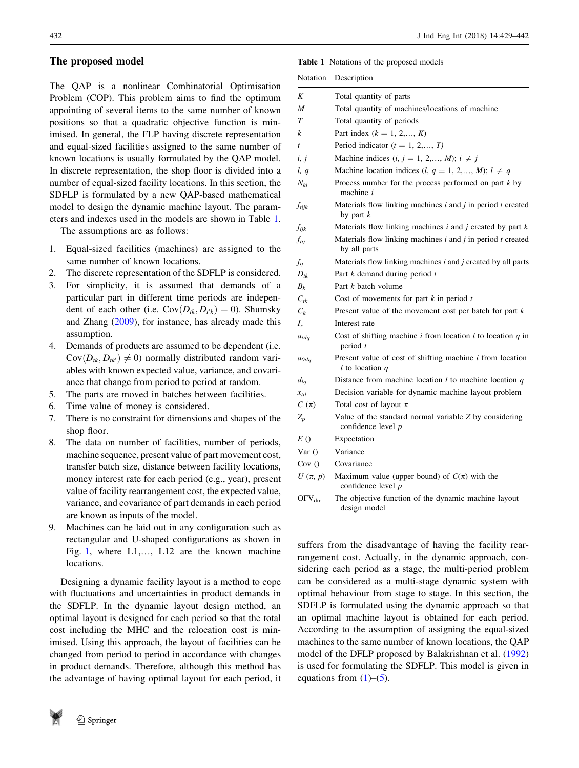# <span id="page-3-0"></span>The proposed model

The QAP is a nonlinear Combinatorial Optimisation Problem (COP). This problem aims to find the optimum appointing of several items to the same number of known positions so that a quadratic objective function is minimised. In general, the FLP having discrete representation and equal-sized facilities assigned to the same number of known locations is usually formulated by the QAP model. In discrete representation, the shop floor is divided into a number of equal-sized facility locations. In this section, the SDFLP is formulated by a new QAP-based mathematical model to design the dynamic machine layout. The parameters and indexes used in the models are shown in Table 1.

The assumptions are as follows:

- 1. Equal-sized facilities (machines) are assigned to the same number of known locations.
- 2. The discrete representation of the SDFLP is considered.
- 3. For simplicity, it is assumed that demands of a particular part in different time periods are independent of each other (i.e.  $Cov(D_{tk}, D_{t'k}) = 0$ ). Shumsky and Zhang ([2009\)](#page-13-0), for instance, has already made this assumption.
- 4. Demands of products are assumed to be dependent (i.e.  $Cov(D_{tk}, D_{tk'}) \neq 0$  normally distributed random variables with known expected value, variance, and covariance that change from period to period at random.
- 5. The parts are moved in batches between facilities.
- 6. Time value of money is considered.
- 7. There is no constraint for dimensions and shapes of the shop floor.
- 8. The data on number of facilities, number of periods, machine sequence, present value of part movement cost, transfer batch size, distance between facility locations, money interest rate for each period (e.g., year), present value of facility rearrangement cost, the expected value, variance, and covariance of part demands in each period are known as inputs of the model.
- 9. Machines can be laid out in any configuration such as rectangular and U-shaped configurations as shown in Fig. [1](#page-4-0), where L1,…, L12 are the known machine locations.

Designing a dynamic facility layout is a method to cope with fluctuations and uncertainties in product demands in the SDFLP. In the dynamic layout design method, an optimal layout is designed for each period so that the total cost including the MHC and the relocation cost is minimised. Using this approach, the layout of facilities can be changed from period to period in accordance with changes in product demands. Therefore, although this method has the advantage of having optimal layout for each period, it

Table 1 Notations of the proposed models

| Notation         | Description                                                                             |
|------------------|-----------------------------------------------------------------------------------------|
| K                | Total quantity of parts                                                                 |
| M                | Total quantity of machines/locations of machine                                         |
| $\tau$           | Total quantity of periods                                                               |
| k                | Part index $(k = 1, 2, , K)$                                                            |
| $\boldsymbol{t}$ | Period indicator $(t = 1, 2, \ldots, T)$                                                |
| i, j             | Machine indices $(i, j = 1, 2, \ldots, M); i \neq j$                                    |
| l, q             | Machine location indices $(l, q = 1, 2, , M)$ ; $l \neq q$                              |
| $N_{ki}$         | Process number for the process performed on part $k$ by<br>machine $i$                  |
| $f_{tijk}$       | Materials flow linking machines $i$ and $j$ in period $t$ created<br>by part $k$        |
| $f_{ijk}$        | Materials flow linking machines $i$ and $j$ created by part $k$                         |
| $f_{tij}$        | Materials flow linking machines $i$ and $j$ in period $t$ created<br>by all parts       |
| fii              | Materials flow linking machines $i$ and $j$ created by all parts                        |
| $D_{ik}$         | Part k demand during period t                                                           |
| $B_{\nu}$        | Part k batch volume                                                                     |
| $C_{tk}$         | Cost of movements for part $k$ in period $t$                                            |
| $C_{\nu}$        | Present value of the movement cost per batch for part $k$                               |
| $I_r$            | Interest rate                                                                           |
| $a_{tilq}$       | Cost of shifting machine $i$ from location $l$ to location $q$ in<br>period $t$         |
| $a_{Oilq}$       | Present value of cost of shifting machine <i>i</i> from location<br>$l$ to location $q$ |
| $d_{la}$         | Distance from machine location $l$ to machine location $q$                              |
| $x_{til}$        | Decision variable for dynamic machine layout problem                                    |
| $C(\pi)$         | Total cost of layout $\pi$                                                              |
| $Z_p$            | Value of the standard normal variable Z by considering<br>confidence level $p$          |
| E()              | Expectation                                                                             |
| Var()            | Variance                                                                                |
| Cov()            | Covariance                                                                              |
| $U(\pi, p)$      | Maximum value (upper bound) of $C(\pi)$ with the<br>confidence level $p$                |
| $OFV_{dm}$       | The objective function of the dynamic machine layout<br>design model                    |

suffers from the disadvantage of having the facility rearrangement cost. Actually, in the dynamic approach, considering each period as a stage, the multi-period problem can be considered as a multi-stage dynamic system with optimal behaviour from stage to stage. In this section, the SDFLP is formulated using the dynamic approach so that an optimal machine layout is obtained for each period. According to the assumption of assigning the equal-sized machines to the same number of known locations, the QAP model of the DFLP proposed by Balakrishnan et al. ([1992\)](#page-12-0) is used for formulating the SDFLP. This model is given in equations from  $(1)$ – $(5)$  $(5)$ .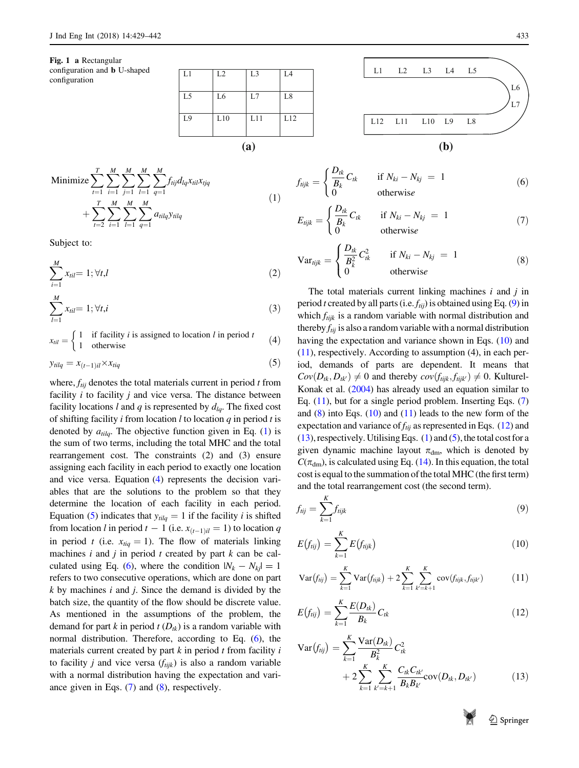<span id="page-4-0"></span>Fig. 1 a Rectangular configuration and b U-shaped

| L1             | L2             | L <sub>3</sub> | L <sub>4</sub> |  |  |  |  |
|----------------|----------------|----------------|----------------|--|--|--|--|
|                |                |                |                |  |  |  |  |
|                |                |                |                |  |  |  |  |
| L <sub>5</sub> | L <sub>6</sub> | L7             | L <sub>8</sub> |  |  |  |  |
|                |                |                |                |  |  |  |  |
|                |                |                |                |  |  |  |  |
| L9             | L10            | L11            | L12            |  |  |  |  |
|                |                |                |                |  |  |  |  |
|                |                |                |                |  |  |  |  |
|                |                |                |                |  |  |  |  |
| (a)            |                |                |                |  |  |  |  |

 $f_{tijk} =$ 

 $\epsilon$ 

Minimize 
$$
\sum_{t=1}^{T} \sum_{i=1}^{M} \sum_{j=1}^{M} \sum_{l=1}^{M} \sum_{q=1}^{M} f_{tij} d_{lq} x_{til} x_{tjq}
$$
  
+ 
$$
\sum_{t=2}^{T} \sum_{i=1}^{M} \sum_{l=1}^{M} \sum_{q=1}^{M} a_{tilq} y_{tilq}
$$
 (1)

Subject to:

$$
\sum_{i=1}^{M} x_{til} = 1; \forall t, l \tag{2}
$$

$$
\sum_{l=1}^{M} x_{til} = 1; \forall t, i
$$
\n<sup>(3)</sup>

 $x_{nil} = \begin{cases} 1 & \text{if facility } i \text{ is assigned to location } l \text{ in period } t \\ 1 & \text{otherwise} \end{cases}$  $(4)$ 

$$
y_{tilq} = x_{(t-1)il} \times x_{tiq} \tag{5}
$$

where,  $f_{tii}$  denotes the total materials current in period t from facility  $i$  to facility  $j$  and vice versa. The distance between facility locations l and q is represented by  $d_{lq}$ . The fixed cost of shifting facility i from location l to location  $q$  in period t is denoted by  $a_{tila}$ . The objective function given in Eq. ([1\)](#page-3-0) is the sum of two terms, including the total MHC and the total rearrangement cost. The constraints (2) and (3) ensure assigning each facility in each period to exactly one location and vice versa. Equation (4) represents the decision variables that are the solutions to the problem so that they determine the location of each facility in each period. Equation (5) indicates that  $y_{tilq} = 1$  if the facility *i* is shifted from location l in period  $t - 1$  (i.e.  $x_{(t-1)il} = 1$ ) to location q in period t (i.e.  $x_{tiq} = 1$ ). The flow of materials linking machines  $i$  and  $j$  in period  $t$  created by part  $k$  can be calculated using Eq. (6), where the condition  $|N_k - N_{ki}| = 1$ refers to two consecutive operations, which are done on part  $k$  by machines  $i$  and  $j$ . Since the demand is divided by the batch size, the quantity of the flow should be discrete value. As mentioned in the assumptions of the problem, the demand for part k in period  $t(D_{tk})$  is a random variable with normal distribution. Therefore, according to Eq. (6), the materials current created by part  $k$  in period  $t$  from facility  $i$ to facility *j* and vice versa  $(f_{tijk})$  is also a random variable with a normal distribution having the expectation and variance given in Eqs. (7) and (8), respectively.



Dtk Bk Ctk if Nki Nkj ¼ 1 0 otherwise ð6Þ

$$
E_{tijk} = \begin{cases} \frac{D_{tk}}{B_k} C_{tk} & \text{if } N_{ki} - N_{kj} = 1\\ 0 & \text{otherwise} \end{cases}
$$
(7)

$$
\text{Var}_{tijk} = \begin{cases} \frac{D_{tk}}{B_k^2} C_{tk}^2 & \text{if } N_{ki} - N_{kj} = 1\\ 0 & \text{otherwise} \end{cases}
$$
 (8)

The total materials current linking machines  $i$  and  $j$  in period t created by all parts (i.e.  $f_{tii}$ ) is obtained using Eq. (9) in which  $f_{tijk}$  is a random variable with normal distribution and thereby  $f_{tij}$  is also a random variable with a normal distribution having the expectation and variance shown in Eqs. (10) and  $(11)$ , respectively. According to assumption  $(4)$ , in each period, demands of parts are dependent. It means that  $Cov(D_{tk}, D_{tk'}) \neq 0$  and thereby  $cov(f_{tijk}, f_{tijk'}) \neq 0$ . Kulturel-Konak et al. ([2004](#page-12-0)) has already used an equation similar to Eq.  $(11)$ , but for a single period problem. Inserting Eqs.  $(7)$ and  $(8)$  into Eqs.  $(10)$  and  $(11)$  leads to the new form of the expectation and variance of  $f_{tij}$  as represented in Eqs. (12) and (13), respectively. Utilising Eqs. ([1\)](#page-3-0) and (5), the total cost for a given dynamic machine layout  $\pi_{dm}$ , which is denoted by  $C(\pi_{dm})$ , is calculated using Eq. ([14](#page-5-0)). In this equation, the total cost is equal to the summation of the total MHC (the first term) and the total rearrangement cost (the second term).

$$
f_{ij} = \sum_{k=1}^{K} f_{tijk} \tag{9}
$$

$$
E(f_{ij}) = \sum_{k=1}^{K} E(f_{ijk})
$$
\n(10)

$$
Var(f_{tij}) = \sum_{k=1}^{K} Var(f_{tijk}) + 2 \sum_{k=1}^{K} \sum_{k'=k+1}^{K} cov(f_{tijk}, f_{tijk'})
$$
(11)

$$
E(f_{ij}) = \sum_{k=1}^{K} \frac{E(D_{ik})}{B_k} C_{ik}
$$
 (12)

$$
\operatorname{Var}(f_{tij}) = \sum_{k=1}^{K} \frac{\operatorname{Var}(D_{tk})}{B_k^2} C_{tk}^2 + 2 \sum_{k=1}^{K} \sum_{k'=k+1}^{K} \frac{C_{tk} C_{tk'}}{B_k B_{k'}} \operatorname{cov}(D_{tk}, D_{tk'}) \tag{13}
$$

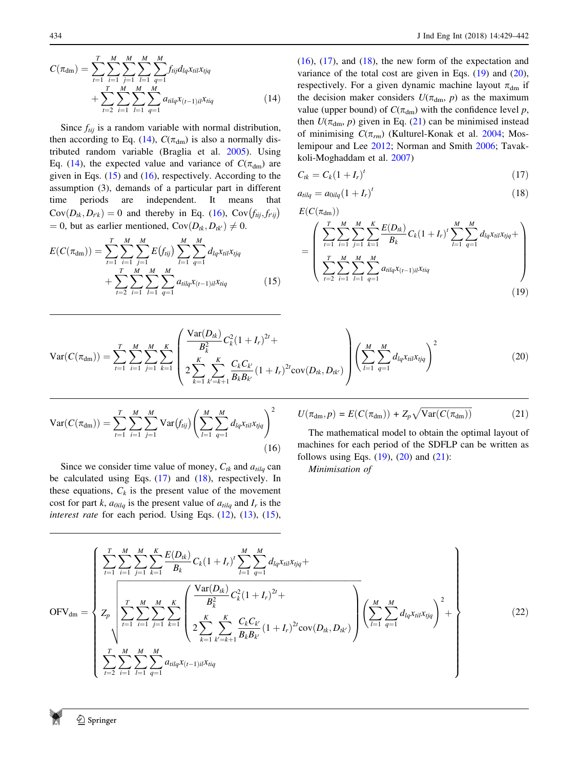<span id="page-5-0"></span>
$$
C(\pi_{\text{dm}}) = \sum_{t=1}^{T} \sum_{i=1}^{M} \sum_{j=1}^{M} \sum_{l=1}^{M} \sum_{q=1}^{M} f_{tij} d_{lq} x_{til} x_{tjq} + \sum_{t=2}^{T} \sum_{i=1}^{M} \sum_{l=1}^{M} \sum_{q=1}^{M} a_{tilq} x_{(t-1)il} x_{tiq}
$$
(14)

Since  $f_{tij}$  is a random variable with normal distribution, then according to Eq. (14),  $C(\pi_{dm})$  is also a normally distributed random variable (Braglia et al. [2005](#page-12-0)). Using Eq. (14), the expected value and variance of  $C(\pi_{dm})$  are given in Eqs.  $(15)$  and  $(16)$ , respectively. According to the assumption (3), demands of a particular part in different time periods are independent. It means that Cov $(D_{tk}, D_{t'k}) = 0$  and thereby in Eq. (16), Cov $(f_{tij}, f_{t'ij})$  $= 0$ , but as earlier mentioned, Cov $(D_{tk}, D_{tk'}) \neq 0$ .

$$
E(C(\pi_{dm})) = \sum_{t=1}^{T} \sum_{i=1}^{M} \sum_{j=1}^{M} E(f_{tij}) \sum_{l=1}^{M} \sum_{q=1}^{M} d_{lq} x_{til} x_{tjq} + \sum_{t=2}^{T} \sum_{i=1}^{M} \sum_{l=1}^{M} \sum_{q=1}^{M} a_{tilq} x_{(t-1)il} x_{tiq}
$$
(15)

 $(16)$ ,  $(17)$ , and  $(18)$ , the new form of the expectation and variance of the total cost are given in Eqs.  $(19)$  and  $(20)$ , respectively. For a given dynamic machine layout  $\pi_{dm}$  if the decision maker considers  $U(\pi_{dm}, p)$  as the maximum value (upper bound) of  $C(\pi_{dm})$  with the confidence level p, then  $U(\pi_{dm}, p)$  given in Eq. (21) can be minimised instead of minimising  $C(\pi_{rm})$  (Kulturel-Konak et al. [2004](#page-12-0); Moslemipour and Lee [2012](#page-13-0); Norman and Smith [2006;](#page-13-0) Tavakkoli-Moghaddam et al. [2007\)](#page-13-0)

$$
C_{tk}=C_k(1+I_r)^t\tag{17}
$$

$$
a_{tilq} = a_{0ilq} (1 + I_r)^t \tag{18}
$$

$$
E(C(\pi_{\rm dm}))
$$

$$
= \left(\sum_{t=1}^{T} \sum_{i=1}^{M} \sum_{j=1}^{M} \sum_{k=1}^{K} \frac{E(D_{ik})}{B_k} C_k (1+I_r)^t \sum_{l=1}^{M} \sum_{q=1}^{M} d_{lq} x_{til} x_{tjq} + \sum_{t=2}^{T} \sum_{i=1}^{M} \sum_{l=1}^{M} \sum_{q=1}^{M} a_{tilq} x_{(t-1)il} x_{tiq}
$$
\n(19)

$$
Var(C(\pi_{dm})) = \sum_{t=1}^{T} \sum_{i=1}^{M} \sum_{j=1}^{M} \sum_{k=1}^{K} \left( \frac{\frac{Var(D_{tk})}{B_{k}^{2}} C_{k}^{2} (1+I_{r})^{2t}}{2 \sum_{k=1}^{K} \sum_{k'=k+1}^{K} \frac{C_{k} C_{k'}}{B_{k} B_{k'}} (1+I_{r})^{2t} cov(D_{tk}, D_{tk'})} \right) \left( \sum_{l=1}^{M} \sum_{q=1}^{M} d_{lq} x_{tl} x_{tjq} \right)^{2}
$$
(20)

$$
Var(C(\pi_{dm})) = \sum_{t=1}^{T} \sum_{i=1}^{M} \sum_{j=1}^{M} Var(f_{tij}) \left( \sum_{l=1}^{M} \sum_{q=1}^{M} d_{lq} x_{til} x_{tjq} \right)^2
$$
(16)

Since we consider time value of money,  $C_{tk}$  and  $a_{tilq}$  can be calculated using Eqs. (17) and (18), respectively. In these equations,  $C_k$  is the present value of the movement cost for part k,  $a_{\text{oilq}}$  is the present value of  $a_{\text{tilq}}$  and  $I_r$  is the interest rate for each period. Using Eqs.  $(12)$  $(12)$ ,  $(13)$  $(13)$ ,  $(15)$ ,

$$
U(\pi_{\rm dm}, p) = E(C(\pi_{\rm dm})) + Z_p \sqrt{\text{Var}(C(\pi_{\rm dm}))}
$$
 (21)

The mathematical model to obtain the optimal layout of machines for each period of the SDFLP can be written as follows using Eqs.  $(19)$ ,  $(20)$  and  $(21)$ :

Minimisation of

$$
OFV_{dm} = \begin{cases} \sum_{t=1}^{T} \sum_{i=1}^{M} \sum_{j=1}^{K} \sum_{k=1}^{K} \frac{E(D_{tk})}{B_k} C_k (1 + I_r)^t \sum_{l=1}^{M} \sum_{q=1}^{M} d_{lq} x_{til} x_{ijq} + \\ Z_p \sqrt{\sum_{t=1}^{T} \sum_{i=1}^{M} \sum_{j=1}^{M} \sum_{k=1}^{K} \sum_{k=1}^{K} \left( \frac{Var(D_{tk})}{B_k^2} C_k^2 (1 + I_r)^{2t} + \\ 2 \sum_{k=1}^{K} \sum_{k'=k+1}^{K} \frac{C_k C_{k'}}{B_k B_{k'}} (1 + I_r)^{2t} cov(D_{tk}, D_{tk'}) \right) \left( \sum_{l=1}^{M} \sum_{q=1}^{M} d_{lq} x_{til} x_{ijq} \right)^2 + \\ \sum_{t=2}^{T} \sum_{i=1}^{M} \sum_{l=1}^{M} \sum_{q=1}^{M} a_{tilq} x_{(t-1)il} x_{tiq} \end{cases} (22)
$$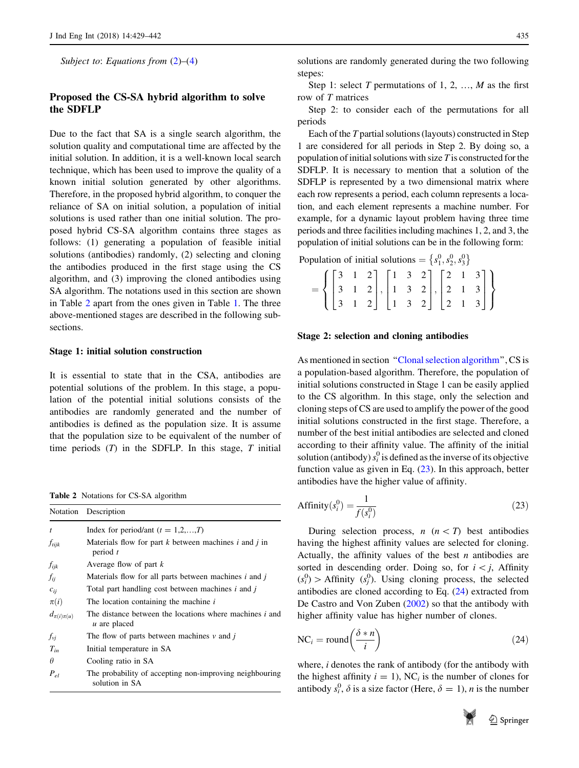<span id="page-6-0"></span>Subject to: Equations from  $(2)$  $(2)$ – $(4)$  $(4)$ 

# Proposed the CS-SA hybrid algorithm to solve the SDFLP

Due to the fact that SA is a single search algorithm, the solution quality and computational time are affected by the initial solution. In addition, it is a well-known local search technique, which has been used to improve the quality of a known initial solution generated by other algorithms. Therefore, in the proposed hybrid algorithm, to conquer the reliance of SA on initial solution, a population of initial solutions is used rather than one initial solution. The proposed hybrid CS-SA algorithm contains three stages as follows: (1) generating a population of feasible initial solutions (antibodies) randomly, (2) selecting and cloning the antibodies produced in the first stage using the CS algorithm, and (3) improving the cloned antibodies using SA algorithm. The notations used in this section are shown in Table 2 apart from the ones given in Table [1](#page-3-0). The three above-mentioned stages are described in the following subsections.

#### Stage 1: initial solution construction

It is essential to state that in the CSA, antibodies are potential solutions of the problem. In this stage, a population of the potential initial solutions consists of the antibodies are randomly generated and the number of antibodies is defined as the population size. It is assume that the population size to be equivalent of the number of time periods  $(T)$  in the SDFLP. In this stage,  $T$  initial

Table 2 Notations for CS-SA algorithm

|                    | Notation Description                                                      |
|--------------------|---------------------------------------------------------------------------|
| $\mathfrak{t}$     | Index for period/ant $(t = 1,2,,T)$                                       |
| $f_{tijk}$         | Materials flow for part $k$ between machines $i$ and $j$ in<br>period $t$ |
| $f_{ijk}$          | Average flow of part $k$                                                  |
| $f_{ij}$           | Materials flow for all parts between machines $i$ and $j$                 |
| $c_{ii}$           | Total part handling cost between machines i and j                         |
| $\pi(i)$           | The location containing the machine $i$                                   |
| $d_{\pi(i)\pi(u)}$ | The distance between the locations where machines i and<br>u are placed   |
| $f_{\nu j}$        | The flow of parts between machines $v$ and $\dot{t}$                      |
| $T_{in}$           | Initial temperature in SA                                                 |
| $\theta$           | Cooling ratio in SA                                                       |
| $P_{el}$           | The probability of accepting non-improving neighbouring<br>solution in SA |

solutions are randomly generated during the two following stepes:

Step 1: select T permutations of 1, 2, ..., M as the first row of T matrices

Step 2: to consider each of the permutations for all periods

Each of the T partial solutions (layouts) constructed in Step 1 are considered for all periods in Step 2. By doing so, a population of initial solutions with size  $T$  is constructed for the SDFLP. It is necessary to mention that a solution of the SDFLP is represented by a two dimensional matrix where each row represents a period, each column represents a location, and each element represents a machine number. For example, for a dynamic layout problem having three time periods and three facilities including machines 1, 2, and 3, the population of initial solutions can be in the following form:

Population of initial solutions =  $\{s_1^0, s_2^0, s_3^0\}$  $\begin{bmatrix} 0 & 0 & 0 \\ 0 & 0 & 0 \end{bmatrix}$ 

|  | $= \left\{ \begin{bmatrix} 3 & 1 & 2 \\ 3 & 1 & 2 \\ 3 & 1 & 2 \end{bmatrix}, \begin{bmatrix} 1 & 3 & 2 \\ 1 & 3 & 2 \\ 1 & 3 & 2 \end{bmatrix}, \begin{bmatrix} 2 & 1 & 3 \\ 2 & 1 & 3 \\ 2 & 1 & 3 \end{bmatrix} \right\}$ |  |  |  |  |
|--|------------------------------------------------------------------------------------------------------------------------------------------------------------------------------------------------------------------------------|--|--|--|--|

#### Stage 2: selection and cloning antibodies

As mentioned in section "Clonal selection algorithm", CS is a population-based algorithm. Therefore, the population of initial solutions constructed in Stage 1 can be easily applied to the CS algorithm. In this stage, only the selection and cloning steps of CS are used to amplify the power of the good initial solutions constructed in the first stage. Therefore, a number of the best initial antibodies are selected and cloned according to their affinity value. The affinity of the initial solution (antibody)  $s_i^0$  is defined as the inverse of its objective function value as given in Eq. (23). In this approach, better antibodies have the higher value of affinity.

Affinity
$$
(s_i^0)
$$
 =  $\frac{1}{f(s_i^0)}$  (23)

During selection process,  $n \ (n \lt T)$  best antibodies having the highest affinity values are selected for cloning. Actually, the affinity values of the best  $n$  antibodies are sorted in descending order. Doing so, for  $i \leq j$ , Affinity  $(s_i^0)$  > Affinity  $(s_j^0)$ . Using cloning process, the selected antibodies are cloned according to Eq. (24) extracted from De Castro and Von Zuben [\(2002](#page-12-0)) so that the antibody with higher affinity value has higher number of clones.

$$
NC_i = round\left(\frac{\delta * n}{i}\right)
$$
 (24)

where, *i* denotes the rank of antibody (for the antibody with the highest affinity  $i = 1$ ), NC<sub>i</sub> is the number of clones for antibody  $s_i^0$ ,  $\delta$  is a size factor (Here,  $\delta = 1$ ), *n* is the number

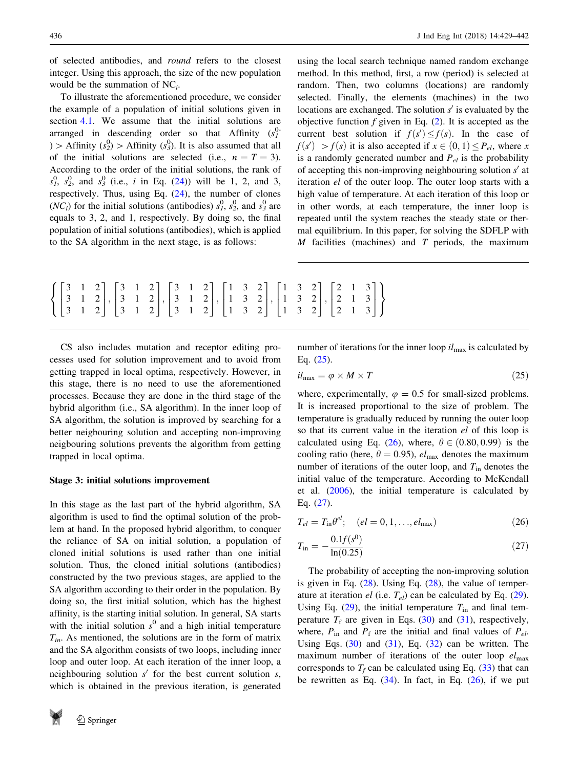of selected antibodies, and round refers to the closest integer. Using this approach, the size of the new population would be the summation of  $NC_i$ .

To illustrate the aforementioned procedure, we consider the example of a population of initial solutions given in section [4.1](#page-6-0). We assume that the initial solutions are arranged in descending order so that Affinity  $(s<sub>l</sub><sup>0</sup>)$  $)$  > Affinity  $(s_2^0)$  > Affinity  $(s_3^0)$ . It is also assumed that all of the initial solutions are selected (i.e.,  $n = T = 3$ ). According to the order of the initial solutions, the rank of  $s_1^0$ ,  $s_2^0$ , and  $s_3^0$  (i.e., *i* in Eq. ([24\)](#page-6-0)) will be 1, 2, and 3, respectively. Thus, using Eq.  $(24)$  $(24)$ , the number of clones (*NC<sub>i</sub>*) for the initial solutions (antibodies)  $s_1^0$ ,  $s_2^0$ , and  $s_3^0$  are equals to 3, 2, and 1, respectively. By doing so, the final population of initial solutions (antibodies), which is applied to the SA algorithm in the next stage, is as follows:

using the local search technique named random exchange method. In this method, first, a row (period) is selected at random. Then, two columns (locations) are randomly selected. Finally, the elements (machines) in the two locations are exchanged. The solution  $s'$  is evaluated by the objective function  $f$  given in Eq.  $(2)$  $(2)$ . It is accepted as the current best solution if  $f(s') \leq f(s)$ . In the case of  $f(s') > f(s)$  it is also accepted if  $x \in (0, 1) \leq P_{el}$ , where x is a randomly generated number and  $P_{el}$  is the probability of accepting this non-improving neighbouring solution  $s'$  at iteration el of the outer loop. The outer loop starts with a high value of temperature. At each iteration of this loop or in other words, at each temperature, the inner loop is repeated until the system reaches the steady state or thermal equilibrium. In this paper, for solving the SDFLP with  $M$  facilities (machines) and  $T$  periods, the maximum

$$
\left\{ \begin{bmatrix} 3 & 1 & 2 \\ 3 & 1 & 2 \\ 3 & 1 & 2 \end{bmatrix}, \begin{bmatrix} 3 & 1 & 2 \\ 3 & 1 & 2 \\ 3 & 1 & 2 \end{bmatrix}, \begin{bmatrix} 3 & 1 & 2 \\ 3 & 1 & 2 \\ 3 & 1 & 2 \end{bmatrix}, \begin{bmatrix} 1 & 3 & 2 \\ 1 & 3 & 2 \\ 1 & 3 & 2 \end{bmatrix}, \begin{bmatrix} 1 & 3 & 2 \\ 1 & 3 & 2 \\ 1 & 3 & 2 \end{bmatrix}, \begin{bmatrix} 2 & 1 & 3 \\ 2 & 1 & 3 \\ 2 & 1 & 3 \end{bmatrix} \right\}
$$

CS also includes mutation and receptor editing processes used for solution improvement and to avoid from getting trapped in local optima, respectively. However, in this stage, there is no need to use the aforementioned processes. Because they are done in the third stage of the hybrid algorithm (i.e., SA algorithm). In the inner loop of SA algorithm, the solution is improved by searching for a better neigbouring solution and accepting non-improving neigbouring solutions prevents the algorithm from getting trapped in local optima.

## Stage 3: initial solutions improvement

In this stage as the last part of the hybrid algorithm, SA algorithm is used to find the optimal solution of the problem at hand. In the proposed hybrid algorithm, to conquer the reliance of SA on initial solution, a population of cloned initial solutions is used rather than one initial solution. Thus, the cloned initial solutions (antibodies) constructed by the two previous stages, are applied to the SA algorithm according to their order in the population. By doing so, the first initial solution, which has the highest affinity, is the starting initial solution. In general, SA starts with the initial solution  $s^0$  and a high initial temperature  $T_{in}$ . As mentioned, the solutions are in the form of matrix and the SA algorithm consists of two loops, including inner loop and outer loop. At each iteration of the inner loop, a neighbouring solution  $s'$  for the best current solution s, which is obtained in the previous iteration, is generated



number of iterations for the inner loop  $il_{\text{max}}$  is calculated by Eq. (25).

$$
il_{\text{max}} = \varphi \times M \times T \tag{25}
$$

where, experimentally,  $\varphi = 0.5$  for small-sized problems. It is increased proportional to the size of problem. The temperature is gradually reduced by running the outer loop so that its current value in the iteration el of this loop is calculated using Eq. (26), where,  $\theta \in (0.80, 0.99)$  is the cooling ratio (here,  $\theta = 0.95$ ),  $el_{\text{max}}$  denotes the maximum number of iterations of the outer loop, and  $T_{\text{in}}$  denotes the initial value of the temperature. According to McKendall et al. [\(2006](#page-12-0)), the initial temperature is calculated by Eq. (27).

$$
T_{el} = T_{\rm in} \theta^{el}; \quad (el = 0, 1, \dots, el_{\rm max})
$$
 (26)

$$
T_{\rm in} = -\frac{0.1f(s^0)}{\ln(0.25)}\tag{27}
$$

The probability of accepting the non-improving solution is given in Eq.  $(28)$  $(28)$ . Using Eq.  $(28)$ , the value of temperature at iteration el (i.e.  $T_{el}$ ) can be calculated by Eq. [\(29](#page-8-0)). Using Eq. ([29\)](#page-8-0), the initial temperature  $T_{\text{in}}$  and final temperature  $T_f$  are given in Eqs. [\(30](#page-8-0)) and [\(31](#page-8-0)), respectively, where,  $P_{\text{in}}$  and  $P_{\text{f}}$  are the initial and final values of  $P_{el}$ . Using Eqs.  $(30)$  $(30)$  and  $(31)$  $(31)$  $(31)$ , Eq.  $(32)$  $(32)$  can be written. The maximum number of iterations of the outer loop  $el_{\text{max}}$ corresponds to  $T_f$  can be calculated using Eq. [\(33](#page-8-0)) that can be rewritten as Eq.  $(34)$  $(34)$ . In fact, in Eq.  $(26)$ , if we put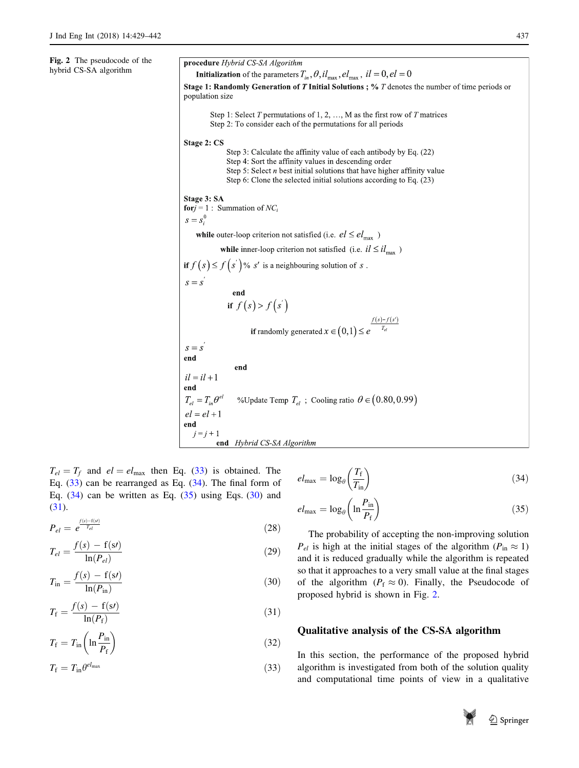<span id="page-8-0"></span>Fig. 2 The pseudocode of the hybrid CS-SA algorithm

procedure Hybrid CS-SA Algorithm **Initialization** of the parameters  $T_{in}$ ,  $\theta$ ,  $il_{max}$ ,  $el_{max}$ ,  $il = 0$ ,  $el = 0$ Stage 1: Randomly Generation of T Initial Solutions ; %  $T$  denotes the number of time periods or population size Step 1: Select T permutations of 1, 2, ..., M as the first row of T matrices Step 2: To consider each of the permutations for all periods Stage 2: CS Step 3: Calculate the affinity value of each antibody by Eq. (22) Step 4: Sort the affinity values in descending order Step 5: Select  $n$  best initial solutions that have higher affinity value Step 6: Clone the selected initial solutions according to Eq. (23) Stage 3: SA **for** $i = 1$ : Summation of  $NC_i$  $s = s^0$ while outer-loop criterion not satisfied (i.e.  $el \leq el_{\text{max}}$ ) while inner-loop criterion not satisfied (i.e.  $il \leq il_{\text{max}}$ ) if  $f(s) \le f(s')$ % s' is a neighbouring solution of s.  $s = s<sup>2</sup>$ end if  $f(s) > f(s')$  $f(s)-f(s')$ if randomly generated  $x \in (0,1) \leq e$  $s = s$ end end  $il = il + 1$ end  $T_{el} = T_{in} \theta^{el}$ %Update Temp  $T_{el}$ ; Cooling ratio  $\theta \in (0.80, 0.99)$  $el = el + 1$ end  $j=j+1$ end Hybrid CS-SA Algorithm

 $T_{el} = T_f$  and  $el = el_{max}$  then Eq. (33) is obtained. The Eq. (33) can be rearranged as Eq. (34). The final form of Eq.  $(34)$  can be written as Eq.  $(35)$  using Eqs.  $(30)$  and (31).

$$
P_{el} = e^{\frac{f(s) - f(s)}{T_{el}}} \tag{28}
$$

$$
T_{el} = \frac{f(s) - f(s')}{\ln(P_{el})}
$$
\n(29)

$$
T_{\rm in} = \frac{f(s) - f(s')}{\ln(P_{\rm in})} \tag{30}
$$

$$
T_{\rm f} = \frac{f(s) - \mathbf{f}(s)}{\ln(P_{\rm f})} \tag{31}
$$

$$
T_{\rm f} = T_{\rm in} \left( \ln \frac{P_{\rm in}}{P_{\rm f}} \right) \tag{32}
$$

$$
T_{\rm f} = T_{\rm in} \theta^{el_{\rm max}} \tag{33}
$$

$$
el_{\text{max}} = \log_{\theta} \left( \frac{T_{\text{f}}}{T_{\text{in}}} \right) \tag{34}
$$

$$
el_{\text{max}} = \log_{\theta} \left( \ln \frac{P_{\text{in}}}{P_{\text{f}}} \right) \tag{35}
$$

The probability of accepting the non-improving solution  $P_{el}$  is high at the initial stages of the algorithm ( $P_{in} \approx 1$ ) and it is reduced gradually while the algorithm is repeated so that it approaches to a very small value at the final stages of the algorithm ( $P_f \approx 0$ ). Finally, the Pseudocode of proposed hybrid is shown in Fig. 2.

# Qualitative analysis of the CS-SA algorithm

In this section, the performance of the proposed hybrid algorithm is investigated from both of the solution quality and computational time points of view in a qualitative

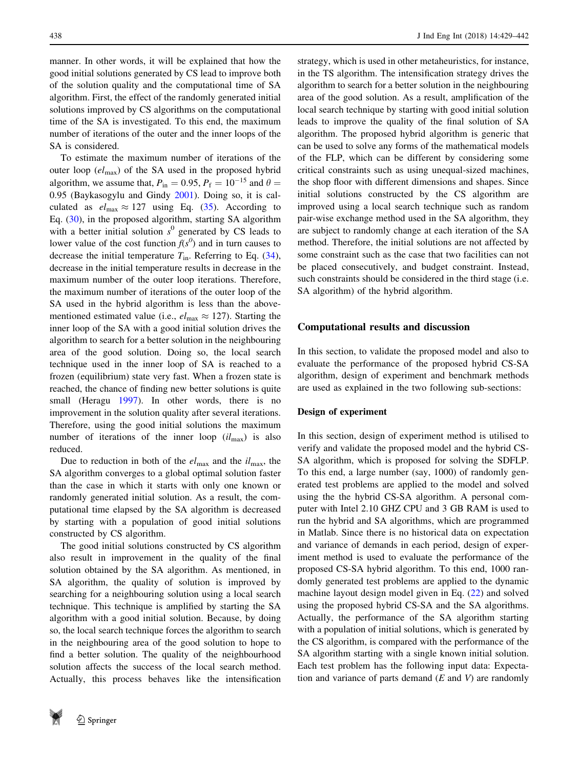manner. In other words, it will be explained that how the good initial solutions generated by CS lead to improve both of the solution quality and the computational time of SA algorithm. First, the effect of the randomly generated initial solutions improved by CS algorithms on the computational time of the SA is investigated. To this end, the maximum number of iterations of the outer and the inner loops of the SA is considered.

To estimate the maximum number of iterations of the outer loop  $(e_{\text{max}})$  of the SA used in the proposed hybrid algorithm, we assume that,  $P_{in} = 0.95$ ,  $P_f = 10^{-15}$  and  $\theta =$ 0:95 (Baykasogylu and Gindy [2001\)](#page-12-0). Doing so, it is calculated as  $el_{\text{max}} \approx 127$  using Eq. [\(35\)](#page-8-0). According to Eq. [\(30](#page-8-0)), in the proposed algorithm, starting SA algorithm with a better initial solution  $s^0$  generated by CS leads to lower value of the cost function  $f(s^0)$  and in turn causes to decrease the initial temperature  $T_{\text{in}}$ . Referring to Eq. [\(34](#page-8-0)), decrease in the initial temperature results in decrease in the maximum number of the outer loop iterations. Therefore, the maximum number of iterations of the outer loop of the SA used in the hybrid algorithm is less than the abovementioned estimated value (i.e.,  $el_{\text{max}} \approx 127$ ). Starting the inner loop of the SA with a good initial solution drives the algorithm to search for a better solution in the neighbouring area of the good solution. Doing so, the local search technique used in the inner loop of SA is reached to a frozen (equilibrium) state very fast. When a frozen state is reached, the chance of finding new better solutions is quite small (Heragu [1997\)](#page-12-0). In other words, there is no improvement in the solution quality after several iterations. Therefore, using the good initial solutions the maximum number of iterations of the inner loop  $(i l_{\text{max}})$  is also reduced.

Due to reduction in both of the  $el_{\text{max}}$  and the  $il_{\text{max}}$ , the SA algorithm converges to a global optimal solution faster than the case in which it starts with only one known or randomly generated initial solution. As a result, the computational time elapsed by the SA algorithm is decreased by starting with a population of good initial solutions constructed by CS algorithm.

The good initial solutions constructed by CS algorithm also result in improvement in the quality of the final solution obtained by the SA algorithm. As mentioned, in SA algorithm, the quality of solution is improved by searching for a neighbouring solution using a local search technique. This technique is amplified by starting the SA algorithm with a good initial solution. Because, by doing so, the local search technique forces the algorithm to search in the neighbouring area of the good solution to hope to find a better solution. The quality of the neighbourhood solution affects the success of the local search method. Actually, this process behaves like the intensification strategy, which is used in other metaheuristics, for instance, in the TS algorithm. The intensification strategy drives the algorithm to search for a better solution in the neighbouring area of the good solution. As a result, amplification of the local search technique by starting with good initial solution leads to improve the quality of the final solution of SA algorithm. The proposed hybrid algorithm is generic that can be used to solve any forms of the mathematical models of the FLP, which can be different by considering some critical constraints such as using unequal-sized machines, the shop floor with different dimensions and shapes. Since initial solutions constructed by the CS algorithm are improved using a local search technique such as random pair-wise exchange method used in the SA algorithm, they are subject to randomly change at each iteration of the SA method. Therefore, the initial solutions are not affected by some constraint such as the case that two facilities can not be placed consecutively, and budget constraint. Instead, such constraints should be considered in the third stage (i.e. SA algorithm) of the hybrid algorithm.

## Computational results and discussion

In this section, to validate the proposed model and also to evaluate the performance of the proposed hybrid CS-SA algorithm, design of experiment and benchmark methods are used as explained in the two following sub-sections:

# Design of experiment

In this section, design of experiment method is utilised to verify and validate the proposed model and the hybrid CS-SA algorithm, which is proposed for solving the SDFLP. To this end, a large number (say, 1000) of randomly generated test problems are applied to the model and solved using the the hybrid CS-SA algorithm. A personal computer with Intel 2.10 GHZ CPU and 3 GB RAM is used to run the hybrid and SA algorithms, which are programmed in Matlab. Since there is no historical data on expectation and variance of demands in each period, design of experiment method is used to evaluate the performance of the proposed CS-SA hybrid algorithm. To this end, 1000 randomly generated test problems are applied to the dynamic machine layout design model given in Eq. [\(22](#page-5-0)) and solved using the proposed hybrid CS-SA and the SA algorithms. Actually, the performance of the SA algorithm starting with a population of initial solutions, which is generated by the CS algorithm, is compared with the performance of the SA algorithm starting with a single known initial solution. Each test problem has the following input data: Expectation and variance of parts demand  $(E \text{ and } V)$  are randomly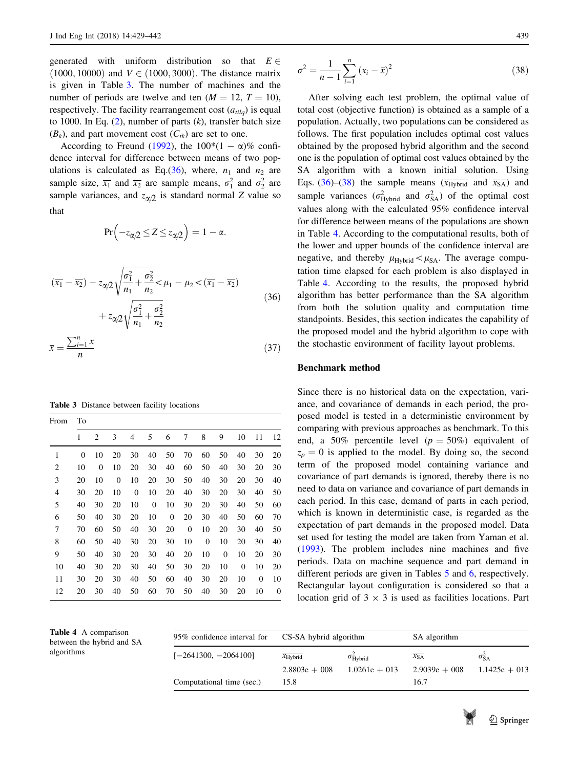generated with uniform distribution so that  $E \in$  $(1000, 10000)$  and  $V \in (1000, 3000)$ . The distance matrix is given in Table 3. The number of machines and the number of periods are twelve and ten  $(M = 12, T = 10)$ , respectively. The facility rearrangement cost  $(a_{tilq})$  is equal to 1000. In Eq.  $(2)$  $(2)$ , number of parts  $(k)$ , transfer batch size  $(B_k)$ , and part movement cost  $(C_{tk})$  are set to one.

According to Freund ([1992\)](#page-12-0), the  $100*(1 - \alpha)\%$  confidence interval for difference between means of two populations is calculated as Eq.(36), where,  $n_1$  and  $n_2$  are sample size,  $\overline{x_1}$  and  $\overline{x_2}$  are sample means,  $\sigma_1^2$  and  $\sigma_2^2$  are sample variances, and  $z_{\alpha/2}$  is standard normal Z value so that

$$
Pr(-z_{\alpha/2} \leq Z \leq z_{\alpha/2}) = 1 - \alpha.
$$

$$
(\overline{x_1} - \overline{x_2}) - z_{\alpha/2} \sqrt{\frac{\sigma_1^2}{n_1} + \frac{\sigma_2^2}{n_2}} < \mu_1 - \mu_2 < (\overline{x_1} - \overline{x_2})
$$
  
+  $z_{\alpha/2} \sqrt{\frac{\sigma_1^2}{n_1} + \frac{\sigma_2^2}{n_2}}$  (36)

$$
\bar{x} = \frac{\sum_{i=1}^{n} x}{n} \tag{37}
$$

Table 3 Distance between facility locations

| From           | Тo |                |    |                |                  |              |    |    |              |              |              |    |
|----------------|----|----------------|----|----------------|------------------|--------------|----|----|--------------|--------------|--------------|----|
|                | 1  | $\overline{2}$ | 3  | $\overline{4}$ | 5                | 6            | 7  | 8  | 9            | 10           | 11           | 12 |
| 1              | 0  | 10             | 20 | 30             | 40               | 50           | 70 | 60 | 50           | 40           | 30           | 20 |
| $\overline{2}$ | 10 | $\overline{0}$ | 10 | 20             | 30               | 40           | 60 | 50 | 40           | 30           | 20           | 30 |
| 3              | 20 | 10             | 0  | 10             | 20               | 30           | 50 | 40 | 30           | 20           | 30           | 40 |
| $\overline{4}$ | 30 | 20             | 10 | $\mathbf{0}$   | 10               | 20           | 40 | 30 | 20           | 30           | 40           | 50 |
| 5              | 40 | 30             | 20 | 10             | $\boldsymbol{0}$ | 10           | 30 | 20 | 30           | 40           | 50           | 60 |
| 6              | 50 | 40             | 30 | 20             | 10               | $\mathbf{0}$ | 20 | 30 | 40           | 50           | 60           | 70 |
| 7              | 70 | 60             | 50 | 40             | 30               | 20           | 0  | 10 | 20           | 30           | 40           | 50 |
| 8              | 60 | 50             | 40 | 30             | 20               | 30           | 10 | 0  | 10           | 20           | 30           | 40 |
| 9              | 50 | 40             | 30 | 20             | 30               | 40           | 20 | 10 | $\mathbf{0}$ | 10           | 20           | 30 |
| 10             | 40 | 30             | 20 | 30             | 40               | 50           | 30 | 20 | 10           | $\mathbf{0}$ | 10           | 20 |
| 11             | 30 | 20             | 30 | 40             | 50               | 60           | 40 | 30 | 20           | 10           | $\mathbf{0}$ | 10 |
| 12             | 20 | 30             | 40 | 50             | 60               | 70           | 50 | 40 | 30           | 20           | 10           | 0  |

$$
\sigma^2 = \frac{1}{n-1} \sum_{i=1}^{n} (x_i - \bar{x})^2
$$
\n(38)

After solving each test problem, the optimal value of total cost (objective function) is obtained as a sample of a population. Actually, two populations can be considered as follows. The first population includes optimal cost values obtained by the proposed hybrid algorithm and the second one is the population of optimal cost values obtained by the SA algorithm with a known initial solution. Using Eqs. (36)–(38) the sample means ( $\overline{x_{Hybrid}}$  and  $\overline{x_{SA}}$ ) and sample variances ( $\sigma_{\text{Hybrid}}^2$  and  $\sigma_{\text{SA}}^2$ ) of the optimal cost values along with the calculated 95% confidence interval for difference between means of the populations are shown in Table 4. According to the computational results, both of the lower and upper bounds of the confidence interval are negative, and thereby  $\mu_{\text{Hvbrid}} < \mu_{\text{SA}}$ . The average computation time elapsed for each problem is also displayed in Table 4. According to the results, the proposed hybrid algorithm has better performance than the SA algorithm from both the solution quality and computation time standpoints. Besides, this section indicates the capability of the proposed model and the hybrid algorithm to cope with the stochastic environment of facility layout problems.

#### Benchmark method

Since there is no historical data on the expectation, variance, and covariance of demands in each period, the proposed model is tested in a deterministic environment by comparing with previous approaches as benchmark. To this end, a 50% percentile level  $(p = 50\%)$  equivalent of  $z_p = 0$  is applied to the model. By doing so, the second term of the proposed model containing variance and covariance of part demands is ignored, thereby there is no need to data on variance and covariance of part demands in each period. In this case, demand of parts in each period, which is known in deterministic case, is regarded as the expectation of part demands in the proposed model. Data set used for testing the model are taken from Yaman et al. [\(1993](#page-13-0)). The problem includes nine machines and five periods. Data on machine sequence and part demand in different periods are given in Tables [5](#page-11-0) and [6,](#page-11-0) respectively. Rectangular layout configuration is considered so that a location grid of  $3 \times 3$  is used as facilities locations. Part

| <b>Table 4</b> A comparison<br>between the hybrid and SA | 95% confidence interval for | CS-SA hybrid algorithm          |                                               | SA algorithm                |                                           |  |
|----------------------------------------------------------|-----------------------------|---------------------------------|-----------------------------------------------|-----------------------------|-------------------------------------------|--|
| algorithms                                               | $[-2641300, -2064100]$      | $x_{Hvbrid}$<br>$2.8803e + 008$ | $\sigma_{\text{Hvbrid}}^2$<br>$1.0261e + 013$ | $x_{SA}$<br>$2.9039e + 008$ | $\sigma_{\text{SA}}^2$<br>$1.1425e + 013$ |  |
|                                                          | Computational time (sec.)   | 15.8                            |                                               | 16.7                        |                                           |  |

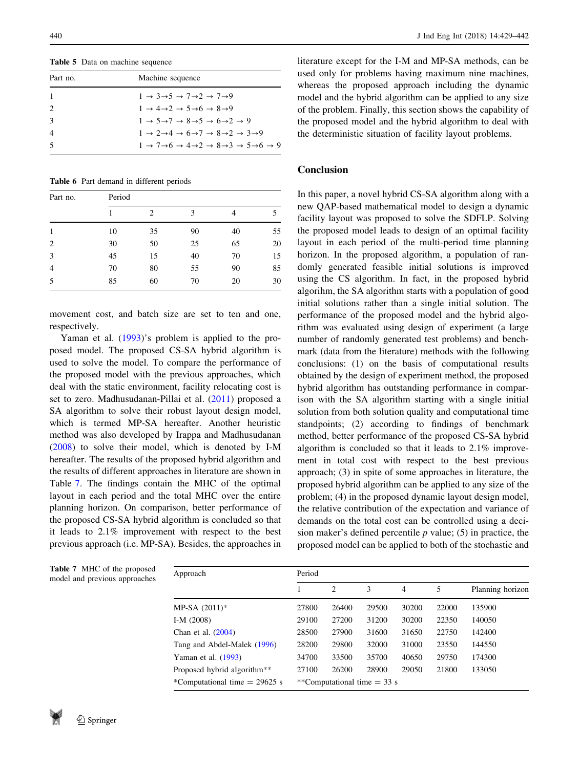<span id="page-11-0"></span>Table 5 Data on machine sequence

| Part no. | Machine sequence                                                                                                                  |
|----------|-----------------------------------------------------------------------------------------------------------------------------------|
|          | $1 \rightarrow 3 \rightarrow 5 \rightarrow 7 \rightarrow 2 \rightarrow 7 \rightarrow 9$                                           |
|          | $1 \rightarrow 4 \rightarrow 2 \rightarrow 5 \rightarrow 6 \rightarrow 8 \rightarrow 9$                                           |
|          | $1 \rightarrow 5 \rightarrow 7 \rightarrow 8 \rightarrow 5 \rightarrow 6 \rightarrow 2 \rightarrow 9$                             |
| 4        | $1 \rightarrow 2 \rightarrow 4 \rightarrow 6 \rightarrow 7 \rightarrow 8 \rightarrow 2 \rightarrow 3 \rightarrow 9$               |
|          | $1 \rightarrow 7 \rightarrow 6 \rightarrow 4 \rightarrow 2 \rightarrow 8 \rightarrow 3 \rightarrow 5 \rightarrow 6 \rightarrow 9$ |
|          |                                                                                                                                   |

Table 6 Part demand in different periods

| Part no.       | Period |                |    |    |    |  |  |  |  |
|----------------|--------|----------------|----|----|----|--|--|--|--|
|                |        | $\overline{c}$ | 3  | 4  |    |  |  |  |  |
| 1              | 10     | 35             | 90 | 40 | 55 |  |  |  |  |
| 2              | 30     | 50             | 25 | 65 | 20 |  |  |  |  |
| 3              | 45     | 15             | 40 | 70 | 15 |  |  |  |  |
| $\overline{4}$ | 70     | 80             | 55 | 90 | 85 |  |  |  |  |
| 5              | 85     | 60             | 70 | 20 | 30 |  |  |  |  |

movement cost, and batch size are set to ten and one, respectively.

Yaman et al. [\(1993](#page-13-0))'s problem is applied to the proposed model. The proposed CS-SA hybrid algorithm is used to solve the model. To compare the performance of the proposed model with the previous approaches, which deal with the static environment, facility relocating cost is set to zero. Madhusudanan-Pillai et al. [\(2011](#page-12-0)) proposed a SA algorithm to solve their robust layout design model, which is termed MP-SA hereafter. Another heuristic method was also developed by Irappa and Madhusudanan [\(2008](#page-12-0)) to solve their model, which is denoted by I-M hereafter. The results of the proposed hybrid algorithm and the results of different approaches in literature are shown in Table 7. The findings contain the MHC of the optimal layout in each period and the total MHC over the entire planning horizon. On comparison, better performance of the proposed CS-SA hybrid algorithm is concluded so that it leads to 2.1% improvement with respect to the best previous approach (i.e. MP-SA). Besides, the approaches in

|  | model and previous approach |  |
|--|-----------------------------|--|
|  |                             |  |
|  |                             |  |

Table 7 MHC of the proposed

literature except for the I-M and MP-SA methods, can be used only for problems having maximum nine machines, whereas the proposed approach including the dynamic model and the hybrid algorithm can be applied to any size of the problem. Finally, this section shows the capability of the proposed model and the hybrid algorithm to deal with the deterministic situation of facility layout problems.

# Conclusion

In this paper, a novel hybrid CS-SA algorithm along with a new QAP-based mathematical model to design a dynamic facility layout was proposed to solve the SDFLP. Solving the proposed model leads to design of an optimal facility layout in each period of the multi-period time planning horizon. In the proposed algorithm, a population of randomly generated feasible initial solutions is improved using the CS algorithm. In fact, in the proposed hybrid algorihm, the SA algorithm starts with a population of good initial solutions rather than a single initial solution. The performance of the proposed model and the hybrid algorithm was evaluated using design of experiment (a large number of randomly generated test problems) and benchmark (data from the literature) methods with the following conclusions: (1) on the basis of computational results obtained by the design of experiment method, the proposed hybrid algorithm has outstanding performance in comparison with the SA algorithm starting with a single initial solution from both solution quality and computational time standpoints; (2) according to findings of benchmark method, better performance of the proposed CS-SA hybrid algorithm is concluded so that it leads to 2.1% improvement in total cost with respect to the best previous approach; (3) in spite of some approaches in literature, the proposed hybrid algorithm can be applied to any size of the problem; (4) in the proposed dynamic layout design model, the relative contribution of the expectation and variance of demands on the total cost can be controlled using a decision maker's defined percentile  $p$  value; (5) in practice, the proposed model can be applied to both of the stochastic and

| <b>Table</b> 7 MHC of the proposed<br>model and previous approaches | Approach                                | Period |       |                               |       |       |                  |  |  |
|---------------------------------------------------------------------|-----------------------------------------|--------|-------|-------------------------------|-------|-------|------------------|--|--|
|                                                                     |                                         |        | 2     | 3                             | 4     | 5     | Planning horizon |  |  |
|                                                                     | MP-SA $(2011)^*$                        | 27800  | 26400 | 29500                         | 30200 | 22000 | 135900           |  |  |
|                                                                     | I-M $(2008)$                            | 29100  | 27200 | 31200                         | 30200 | 22350 | 140050           |  |  |
|                                                                     | Chan et al. $(2004)$                    | 28500  | 27900 | 31600                         | 31650 | 22750 | 142400           |  |  |
|                                                                     | Tang and Abdel-Malek (1996)             | 28200  | 29800 | 32000                         | 31000 | 23550 | 144550           |  |  |
|                                                                     | Yaman et al. $(1993)$                   | 34700  | 33500 | 35700                         | 40650 | 29750 | 174300           |  |  |
|                                                                     | Proposed hybrid algorithm <sup>**</sup> | 27100  | 26200 | 28900                         | 29050 | 21800 | 133050           |  |  |
|                                                                     | *Computational time $= 29625$ s         |        |       | **Computational time $=$ 33 s |       |       |                  |  |  |
|                                                                     |                                         |        |       |                               |       |       |                  |  |  |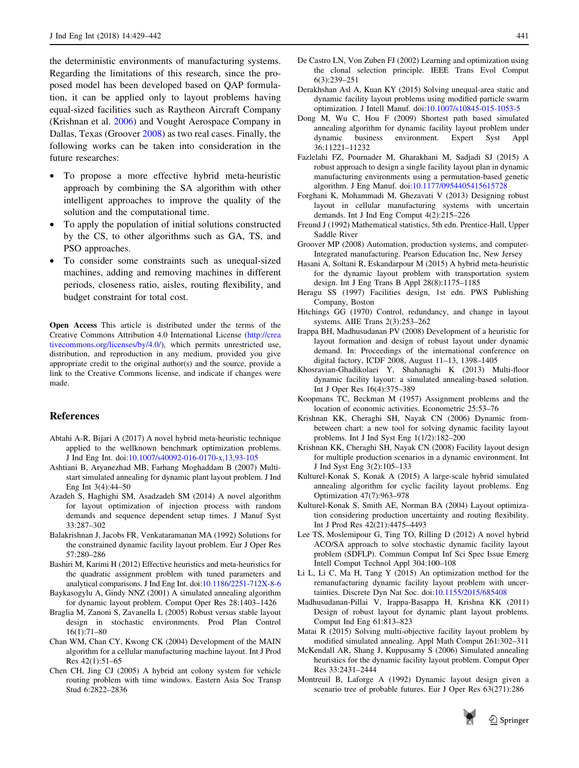<span id="page-12-0"></span>the deterministic environments of manufacturing systems. Regarding the limitations of this research, since the proposed model has been developed based on QAP formulation, it can be applied only to layout problems having equal-sized facilities such as Raytheon Aircraft Company (Krishnan et al. 2006) and Vought Aerospace Company in Dallas, Texas (Groover 2008) as two real cases. Finally, the following works can be taken into consideration in the future researches:

- To propose a more effective hybrid meta-heuristic approach by combining the SA algorithm with other intelligent approaches to improve the quality of the solution and the computational time.
- To apply the population of initial solutions constructed by the CS, to other algorithms such as GA, TS, and PSO approaches.
- To consider some constraints such as unequal-sized machines, adding and removing machines in different periods, closeness ratio, aisles, routing flexibility, and budget constraint for total cost.

Open Access This article is distributed under the terms of the Creative Commons Attribution 4.0 International License ([http://crea](http://creativecommons.org/licenses/by/4.0/) [tivecommons.org/licenses/by/4.0/\)](http://creativecommons.org/licenses/by/4.0/), which permits unrestricted use, distribution, and reproduction in any medium, provided you give appropriate credit to the original author(s) and the source, provide a link to the Creative Commons license, and indicate if changes were made.

#### References

- Abtahi A-R, Bijari A (2017) A novel hybrid meta-heuristic technique applied to the wellknown benchmark optimization problems. J Ind Eng Int. doi[:10.1007/s40092-016-0170-x,13,93-105](http://dx.doi.org/10.1007/s40092-016-0170-x,13,93-105)
- Ashtiani B, Aryanezhad MB, Farhang Moghaddam B (2007) Multistart simulated annealing for dynamic plant layout problem. J Ind Eng Int 3(4):44–50
- Azadeh S, Haghighi SM, Asadzadeh SM (2014) A novel algorithm for layout optimization of injection process with random demands and sequence dependent setup times. J Manuf Syst 33:287–302
- Balakrishnan J, Jacobs FR, Venkataramanan MA (1992) Solutions for the constrained dynamic facility layout problem. Eur J Oper Res 57:280–286
- Bashiri M, Karimi H (2012) Effective heuristics and meta-heuristics for the quadratic assignment problem with tuned parameters and analytical comparisons. J Ind Eng Int. doi[:10.1186/2251-712X-8-6](http://dx.doi.org/10.1186/2251-712X-8-6)
- Baykasogylu A, Gindy NNZ (2001) A simulated annealing algorithm for dynamic layout problem. Comput Oper Res 28:1403–1426
- Braglia M, Zanoni S, Zavanella L (2005) Robust versus stable layout design in stochastic environments. Prod Plan Control 16(1):71–80
- Chan WM, Chan CY, Kwong CK (2004) Development of the MAIN algorithm for a cellular manufacturing machine layout. Int J Prod Res 42(1):51–65
- Chen CH, Jing CJ (2005) A hybrid ant colony system for vehicle routing problem with time windows. Eastern Asia Soc Transp Stud 6:2822–2836
- De Castro LN, Von Zuben FJ (2002) Learning and optimization using the clonal selection principle. IEEE Trans Evol Comput 6(3):239–251
- Derakhshan Asl A, Kuan KY (2015) Solving unequal-area static and dynamic facility layout problems using modified particle swarm optimization. J Intell Manuf. doi:[10.1007/s10845-015-1053-5](http://dx.doi.org/10.1007/s10845-015-1053-5)
- Dong M, Wu C, Hou F (2009) Shortest path based simulated annealing algorithm for dynamic facility layout problem under dynamic business environment. Expert Syst Appl 36:11221–11232
- Fazlelahi FZ, Pournader M, Gharakhani M, Sadjadi SJ (2015) A robust approach to design a single facility layout plan in dynamic manufacturing environments using a permutation-based genetic algorithm. J Eng Manuf. doi:[10.1177/0954405415615728](http://dx.doi.org/10.1177/0954405415615728)
- Forghani K, Mohammadi M, Ghezavati V (2013) Designing robust layout in cellular manufacturing systems with uncertain demands. Int J Ind Eng Comput 4(2):215–226
- Freund J (1992) Mathematical statistics, 5th edn. Prentice-Hall, Upper Saddle River
- Groover MP (2008) Automation, production systems, and computer-Integrated manufacturing. Pearson Education Inc, New Jersey
- Hasani A, Soltani R, Eskandarpour M (2015) A hybrid meta-heuristic for the dynamic layout problem with transportation system design. Int J Eng Trans B Appl 28(8):1175–1185
- Heragu SS (1997) Facilities design, 1st edn. PWS Publishing Company, Boston
- Hitchings GG (1970) Control, redundancy, and change in layout systems. AIIE Trans 2(3):253–262
- Irappa BH, Madhusudanan PV (2008) Development of a heuristic for layout formation and design of robust layout under dynamic demand. In: Proceedings of the international conference on digital factory, ICDF 2008, August 11–13, 1398–1405
- Khosravian-Ghadikolaei Y, Shahanaghi K (2013) Multi-floor dynamic facility layout: a simulated annealing-based solution. Int J Oper Res 16(4):375–389
- Koopmans TC, Beckman M (1957) Assignment problems and the location of economic activities. Econometric 25:53–76
- Krishnan KK, Cheraghi SH, Nayak CN (2006) Dynamic frombetween chart: a new tool for solving dynamic facility layout problems. Int J Ind Syst Eng 1(1/2):182–200
- Krishnan KK, Cheraghi SH, Nayak CN (2008) Facility layout design for multiple production scenarios in a dynamic environment. Int J Ind Syst Eng 3(2):105–133
- Kulturel-Konak S, Konak A (2015) A large-scale hybrid simulated annealing algorithm for cyclic facility layout problems. Eng Optimization 47(7):963–978
- Kulturel-Konak S, Smith AE, Norman BA (2004) Layout optimization considering production uncertainty and routing flexibility. Int J Prod Res 42(21):4475–4493
- Lee TS, Moslemipour G, Ting TO, Rilling D (2012) A novel hybrid ACO/SA approach to solve stochastic dynamic facility layout problem (SDFLP). Commun Comput Inf Sci Spec Issue Emerg Intell Comput Technol Appl 304:100–108
- Li L, Li C, Ma H, Tang Y (2015) An optimization method for the remanufacturing dynamic facility layout problem with uncertainties. Discrete Dyn Nat Soc. doi[:10.1155/2015/685408](http://dx.doi.org/10.1155/2015/685408)
- Madhusudanan-Pillai V, Irappa-Basappa H, Krishna KK (2011) Design of robust layout for dynamic plant layout problems. Comput Ind Eng 61:813–823
- Matai R (2015) Solving multi-objective facility layout problem by modified simulated annealing. Appl Math Comput 261:302–311
- McKendall AR, Shang J, Kuppusamy S (2006) Simulated annealing heuristics for the dynamic facility layout problem. Comput Oper Res 33:2431–2444
- Montreuil B, Laforge A (1992) Dynamic layout design given a scenario tree of probable futures. Eur J Oper Res 63(271):286